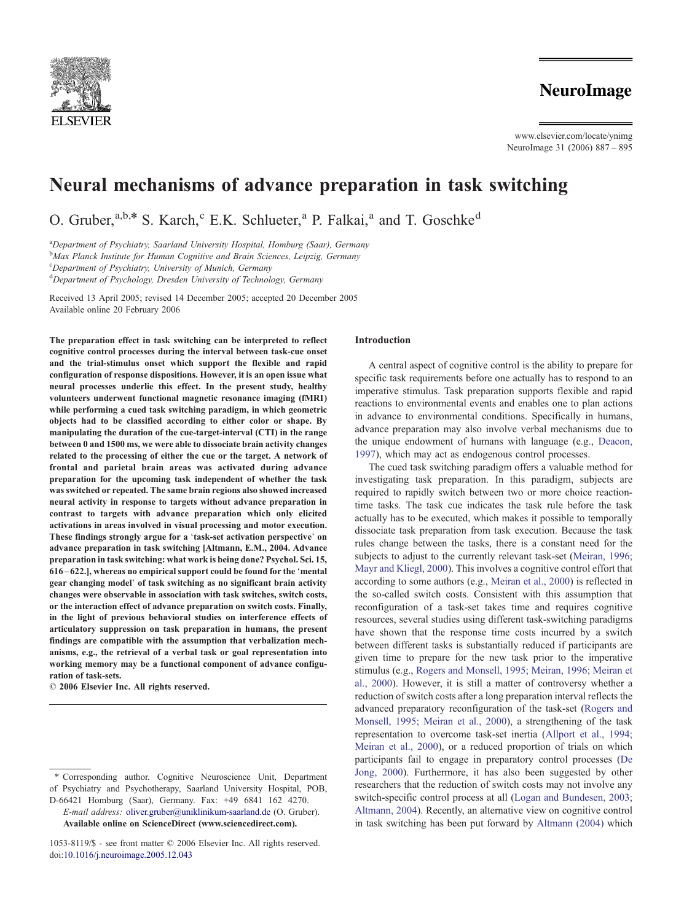

www.elsevier.com/locate/ynimg NeuroImage 31 (2006) 887 – 895

# Neural mechanisms of advance preparation in task switching

O. Gruber, $a,b,*$  S. Karch,  $c$  E.K. Schlueter, $a$  P. Falkai, $a$  and T. Goschke<sup>d</sup>

<sup>a</sup>Department of Psychiatry, Saarland University Hospital, Homburg (Saar), Germany

<sup>b</sup>Max Planck Institute for Human Cognitive and Brain Sciences, Leipzig, Germany

<sup>c</sup>Department of Psychiatry, University of Munich, Germany

<sup>d</sup>Department of Psychology, Dresden University of Technology, Germany

Received 13 April 2005; revised 14 December 2005; accepted 20 December 2005 Available online 20 February 2006

The preparation effect in task switching can be interpreted to reflect cognitive control processes during the interval between task-cue onset and the trial-stimulus onset which support the flexible and rapid configuration of response dispositions. However, it is an open issue what neural processes underlie this effect. In the present study, healthy volunteers underwent functional magnetic resonance imaging (fMRI) while performing a cued task switching paradigm, in which geometric objects had to be classified according to either color or shape. By manipulating the duration of the cue-target-interval (CTI) in the range between 0 and 1500 ms, we were able to dissociate brain activity changes related to the processing of either the cue or the target. A network of frontal and parietal brain areas was activated during advance preparation for the upcoming task independent of whether the task was switched or repeated. The same brain regions also showed increased neural activity in response to targets without advance preparation in contrast to targets with advance preparation which only elicited activations in areas involved in visual processing and motor execution. These findings strongly argue for a 'task-set activation perspective' on advance preparation in task switching [Altmann, E.M., 2004. Advance preparation in task switching: what work is being done? Psychol. Sci. 15,  $616 - 622$ .], whereas no empirical support could be found for the 'mental gear changing model' of task switching as no significant brain activity changes were observable in association with task switches, switch costs, or the interaction effect of advance preparation on switch costs. Finally, in the light of previous behavioral studies on interference effects of articulatory suppression on task preparation in humans, the present findings are compatible with the assumption that verbalization mechanisms, e.g., the retrieval of a verbal task or goal representation into working memory may be a functional component of advance configuration of task-sets.

 $© 2006 Elsevier Inc. All rights reserved.$ 

E-mail address: [oliver.gruber@uniklinikum-saarland.de](mailto:oliver.gruber@uniklinikum-saarland.de) (O. Gruber). Available online on ScienceDirect ([www.sciencedirect.com](http://www.sciencedirect.com)).

## Introduction

A central aspect of cognitive control is the ability to prepare for specific task requirements before one actually has to respond to an imperative stimulus. Task preparation supports flexible and rapid reactions to environmental events and enables one to plan actions in advance to environmental conditions. Specifically in humans, advance preparation may also involve verbal mechanisms due to the unique endowment of humans with language (e.g., [Deacon,](#page-8-0) 1997), which may act as endogenous control processes.

The cued task switching paradigm offers a valuable method for investigating task preparation. In this paradigm, subjects are required to rapidly switch between two or more choice reactiontime tasks. The task cue indicates the task rule before the task actually has to be executed, which makes it possible to temporally dissociate task preparation from task execution. Because the task rules change between the tasks, there is a constant need for the subjects to adjust to the currently relevant task-set ([Meiran, 1996;](#page-8-0) Mayr and Kliegl, 2000). This involves a cognitive control effort that according to some authors (e.g., [Meiran et al., 2000\)](#page-8-0) is reflected in the so-called switch costs. Consistent with this assumption that reconfiguration of a task-set takes time and requires cognitive resources, several studies using different task-switching paradigms have shown that the response time costs incurred by a switch between different tasks is substantially reduced if participants are given time to prepare for the new task prior to the imperative stimulus (e.g., [Rogers and Monsell, 1995; Meiran, 1996; Meiran et](#page-8-0) al., 2000). However, it is still a matter of controversy whether a reduction of switch costs after a long preparation interval reflects the advanced preparatory reconfiguration of the task-set ([Rogers and](#page-8-0) Monsell, 1995; Meiran et al., 2000), a strengthening of the task representation to overcome task-set inertia ([Allport et al., 1994;](#page-7-0) Meiran et al., 2000), or a reduced proportion of trials on which participants fail to engage in preparatory control processes ([De](#page-8-0) Jong, 2000). Furthermore, it has also been suggested by other researchers that the reduction of switch costs may not involve any switch-specific control process at all ([Logan and Bundesen, 2003;](#page-8-0) Altmann, 2004). Recently, an alternative view on cognitive control in task switching has been put forward by [Altmann \(2004\)](#page-8-0) which

<sup>\*</sup> Corresponding author. Cognitive Neuroscience Unit, Department of Psychiatry and Psychotherapy, Saarland University Hospital, POB, D-66421 Homburg (Saar), Germany. Fax: +49 6841 162 4270.

<sup>1053-8119/\$ -</sup> see front matter © 2006 Elsevier Inc. All rights reserved. doi[:10.1016/j.neuroimage.2005.12.043](http://dx.doi.org/10.1016/j.neuroimage.2005.12.043)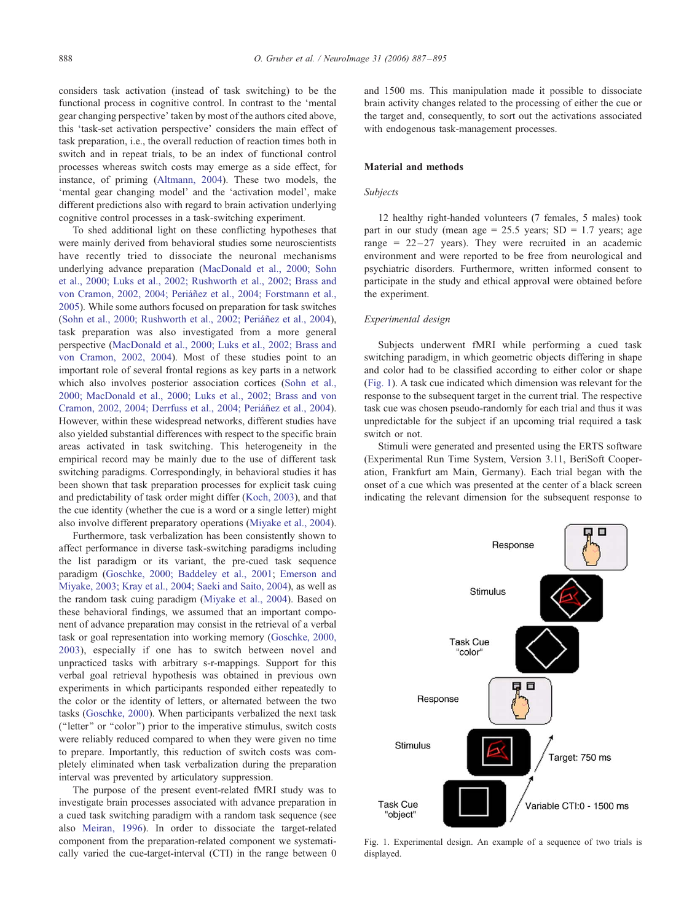<span id="page-1-0"></span>considers task activation (instead of task switching) to be the functional process in cognitive control. In contrast to the 'mental gear changing perspective' taken by most of the authors cited above, this 'task-set activation perspective' considers the main effect of task preparation, i.e., the overall reduction of reaction times both in switch and in repeat trials, to be an index of functional control processes whereas switch costs may emerge as a side effect, for instance, of priming ([Altmann, 2004\)](#page-8-0). These two models, the 'mental gear changing model' and the 'activation model', make different predictions also with regard to brain activation underlying cognitive control processes in a task-switching experiment.

To shed additional light on these conflicting hypotheses that were mainly derived from behavioral studies some neuroscientists have recently tried to dissociate the neuronal mechanisms underlying advance preparation ([MacDonald et al., 2000; Sohn](#page-8-0) et al., 2000; Luks et al., 2002; Rushworth et al., 2002; Brass and von Cramon, 2002, 2004; Periáñez et al., 2004; Forstmann et al., 2005). While some authors focused on preparation for task switches (Sohn et al., 2000; Rushworth et al., 2002; Periáñez et al., 2004), task preparation was also investigated from a more general perspective ([MacDonald et al., 2000; Luks et al., 2002; Brass and](#page-8-0) von Cramon, 2002, 2004). Most of these studies point to an important role of several frontal regions as key parts in a network which also involves posterior association cortices ([Sohn et al.,](#page-8-0) 2000; MacDonald et al., 2000; Luks et al., 2002; Brass and von Cramon, 2002, 2004; Derrfuss et al., 2004; Periáñez et al., 2004). However, within these widespread networks, different studies have also yielded substantial differences with respect to the specific brain areas activated in task switching. This heterogeneity in the empirical record may be mainly due to the use of different task switching paradigms. Correspondingly, in behavioral studies it has been shown that task preparation processes for explicit task cuing and predictability of task order might differ ([Koch, 2003\)](#page-8-0), and that the cue identity (whether the cue is a word or a single letter) might also involve different preparatory operations ([Miyake et al., 2004\)](#page-8-0).

Furthermore, task verbalization has been consistently shown to affect performance in diverse task-switching paradigms including the list paradigm or its variant, the pre-cued task sequence paradigm ([Goschke, 2000; Baddeley et al., 2001;](#page-8-0) [Emerson and](#page-8-0) Miyake, 2003; Kray et al., 2004; Saeki and Saito, 2004), as well as the random task cuing paradigm ([Miyake et al., 2004\)](#page-8-0). Based on these behavioral findings, we assumed that an important component of advance preparation may consist in the retrieval of a verbal task or goal representation into working memory ([Goschke, 2000,](#page-8-0) 2003), especially if one has to switch between novel and unpracticed tasks with arbitrary s-r-mappings. Support for this verbal goal retrieval hypothesis was obtained in previous own experiments in which participants responded either repeatedly to the color or the identity of letters, or alternated between the two tasks [\(Goschke, 2000\)](#page-8-0). When participants verbalized the next task (''letter'' or ''color'') prior to the imperative stimulus, switch costs were reliably reduced compared to when they were given no time to prepare. Importantly, this reduction of switch costs was completely eliminated when task verbalization during the preparation interval was prevented by articulatory suppression.

The purpose of the present event-related fMRI study was to investigate brain processes associated with advance preparation in a cued task switching paradigm with a random task sequence (see also [Meiran, 1996\)](#page-8-0). In order to dissociate the target-related component from the preparation-related component we systematically varied the cue-target-interval (CTI) in the range between 0

and 1500 ms. This manipulation made it possible to dissociate brain activity changes related to the processing of either the cue or the target and, consequently, to sort out the activations associated with endogenous task-management processes.

#### Material and methods

#### Subjects

12 healthy right-handed volunteers (7 females, 5 males) took part in our study (mean age =  $25.5$  years; SD = 1.7 years; age range =  $22-27$  years). They were recruited in an academic environment and were reported to be free from neurological and psychiatric disorders. Furthermore, written informed consent to participate in the study and ethical approval were obtained before the experiment.

# Experimental design

Subjects underwent fMRI while performing a cued task switching paradigm, in which geometric objects differing in shape and color had to be classified according to either color or shape (Fig. 1). A task cue indicated which dimension was relevant for the response to the subsequent target in the current trial. The respective task cue was chosen pseudo-randomly for each trial and thus it was unpredictable for the subject if an upcoming trial required a task switch or not.

Stimuli were generated and presented using the ERTS software (Experimental Run Time System, Version 3.11, BeriSoft Cooperation, Frankfurt am Main, Germany). Each trial began with the onset of a cue which was presented at the center of a black screen indicating the relevant dimension for the subsequent response to



Fig. 1. Experimental design. An example of a sequence of two trials is displayed.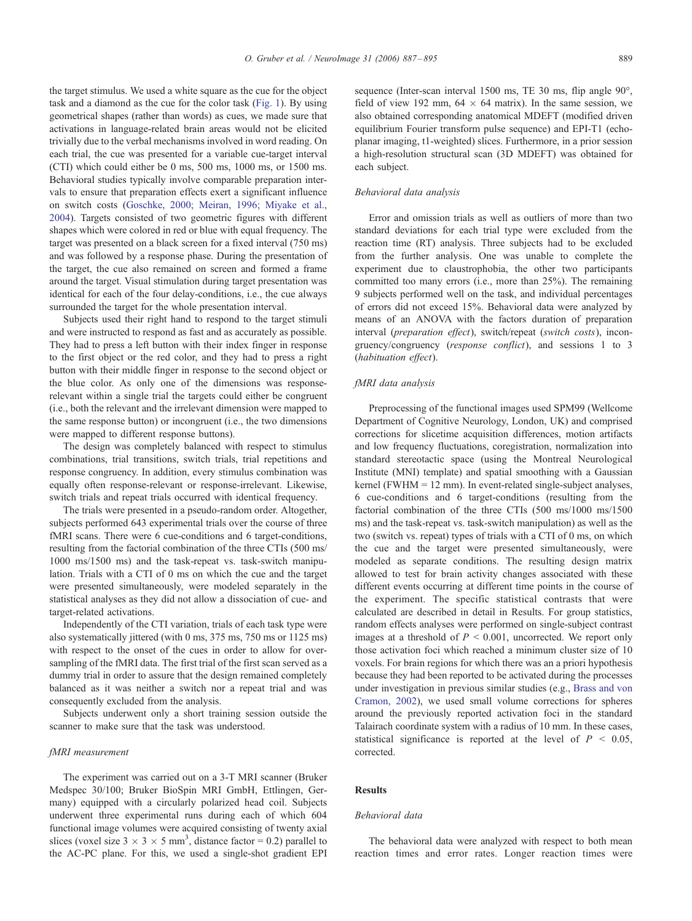the target stimulus. We used a white square as the cue for the object task and a diamond as the cue for the color task ([Fig. 1\)](#page-1-0). By using geometrical shapes (rather than words) as cues, we made sure that activations in language-related brain areas would not be elicited trivially due to the verbal mechanisms involved in word reading. On each trial, the cue was presented for a variable cue-target interval (CTI) which could either be 0 ms, 500 ms, 1000 ms, or 1500 ms. Behavioral studies typically involve comparable preparation intervals to ensure that preparation effects exert a significant influence on switch costs ([Goschke, 2000; Meiran, 1996; Miyake et al.,](#page-8-0) 2004). Targets consisted of two geometric figures with different shapes which were colored in red or blue with equal frequency. The target was presented on a black screen for a fixed interval (750 ms) and was followed by a response phase. During the presentation of the target, the cue also remained on screen and formed a frame around the target. Visual stimulation during target presentation was identical for each of the four delay-conditions, i.e., the cue always surrounded the target for the whole presentation interval.

Subjects used their right hand to respond to the target stimuli and were instructed to respond as fast and as accurately as possible. They had to press a left button with their index finger in response to the first object or the red color, and they had to press a right button with their middle finger in response to the second object or the blue color. As only one of the dimensions was responserelevant within a single trial the targets could either be congruent (i.e., both the relevant and the irrelevant dimension were mapped to the same response button) or incongruent (i.e., the two dimensions were mapped to different response buttons).

The design was completely balanced with respect to stimulus combinations, trial transitions, switch trials, trial repetitions and response congruency. In addition, every stimulus combination was equally often response-relevant or response-irrelevant. Likewise, switch trials and repeat trials occurred with identical frequency.

The trials were presented in a pseudo-random order. Altogether, subjects performed 643 experimental trials over the course of three fMRI scans. There were 6 cue-conditions and 6 target-conditions, resulting from the factorial combination of the three CTIs (500 ms/ 1000 ms/1500 ms) and the task-repeat vs. task-switch manipulation. Trials with a CTI of 0 ms on which the cue and the target were presented simultaneously, were modeled separately in the statistical analyses as they did not allow a dissociation of cue- and target-related activations.

Independently of the CTI variation, trials of each task type were also systematically jittered (with 0 ms, 375 ms, 750 ms or 1125 ms) with respect to the onset of the cues in order to allow for oversampling of the fMRI data. The first trial of the first scan served as a dummy trial in order to assure that the design remained completely balanced as it was neither a switch nor a repeat trial and was consequently excluded from the analysis.

Subjects underwent only a short training session outside the scanner to make sure that the task was understood.

## fMRI measurement

The experiment was carried out on a 3-T MRI scanner (Bruker Medspec 30/100; Bruker BioSpin MRI GmbH, Ettlingen, Germany) equipped with a circularly polarized head coil. Subjects underwent three experimental runs during each of which 604 functional image volumes were acquired consisting of twenty axial slices (voxel size  $3 \times 3 \times 5$  mm<sup>3</sup>, distance factor = 0.2) parallel to the AC-PC plane. For this, we used a single-shot gradient EPI sequence (Inter-scan interval 1500 ms, TE 30 ms, flip angle 90°, field of view 192 mm,  $64 \times 64$  matrix). In the same session, we also obtained corresponding anatomical MDEFT (modified driven equilibrium Fourier transform pulse sequence) and EPI-T1 (echoplanar imaging, t1-weighted) slices. Furthermore, in a prior session a high-resolution structural scan (3D MDEFT) was obtained for each subject.

#### Behavioral data analysis

Error and omission trials as well as outliers of more than two standard deviations for each trial type were excluded from the reaction time (RT) analysis. Three subjects had to be excluded from the further analysis. One was unable to complete the experiment due to claustrophobia, the other two participants committed too many errors (i.e., more than 25%). The remaining 9 subjects performed well on the task, and individual percentages of errors did not exceed 15%. Behavioral data were analyzed by means of an ANOVA with the factors duration of preparation interval (preparation effect), switch/repeat (switch costs), incongruency/congruency (response conflict), and sessions 1 to 3 (habituation effect).

## fMRI data analysis

Preprocessing of the functional images used SPM99 (Wellcome Department of Cognitive Neurology, London, UK) and comprised corrections for slicetime acquisition differences, motion artifacts and low frequency fluctuations, coregistration, normalization into standard stereotactic space (using the Montreal Neurological Institute (MNI) template) and spatial smoothing with a Gaussian kernel (FWHM = 12 mm). In event-related single-subject analyses, 6 cue-conditions and 6 target-conditions (resulting from the factorial combination of the three CTIs (500 ms/1000 ms/1500 ms) and the task-repeat vs. task-switch manipulation) as well as the two (switch vs. repeat) types of trials with a CTI of 0 ms, on which the cue and the target were presented simultaneously, were modeled as separate conditions. The resulting design matrix allowed to test for brain activity changes associated with these different events occurring at different time points in the course of the experiment. The specific statistical contrasts that were calculated are described in detail in Results. For group statistics, random effects analyses were performed on single-subject contrast images at a threshold of  $P < 0.001$ , uncorrected. We report only those activation foci which reached a minimum cluster size of 10 voxels. For brain regions for which there was an a priori hypothesis because they had been reported to be activated during the processes under investigation in previous similar studies (e.g., [Brass and von](#page-8-0) Cramon, 2002), we used small volume corrections for spheres around the previously reported activation foci in the standard Talairach coordinate system with a radius of 10 mm. In these cases, statistical significance is reported at the level of  $P < 0.05$ , corrected.

# Results

#### Behavioral data

The behavioral data were analyzed with respect to both mean reaction times and error rates. Longer reaction times were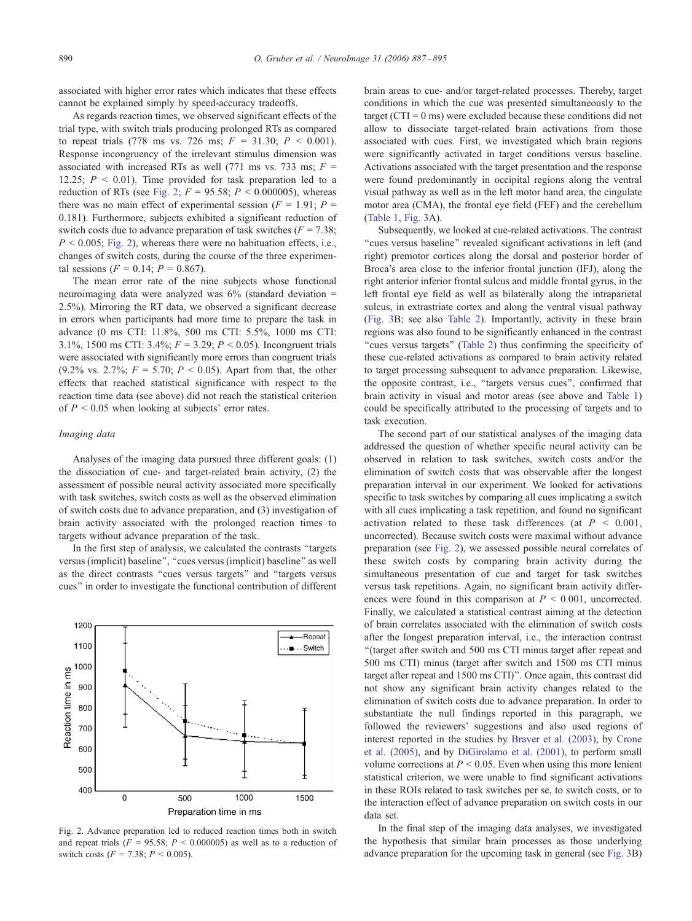<span id="page-3-0"></span>associated with higher error rates which indicates that these effects cannot be explained simply by speed-accuracy tradeoffs.

As regards reaction times, we observed significant effects of the trial type, with switch trials producing prolonged RTs as compared to repeat trials (778 ms vs. 726 ms;  $F = 31.30$ ;  $P < 0.001$ ). Response incongruency of the irrelevant stimulus dimension was associated with increased RTs as well (771 ms vs. 733 ms;  $F =$ 12.25;  $P \leq 0.01$ ). Time provided for task preparation led to a reduction of RTs (see Fig. 2;  $F = 95.58$ ;  $P \le 0.000005$ ), whereas there was no main effect of experimental session ( $F = 1.91$ ;  $P =$ 0.181). Furthermore, subjects exhibited a significant reduction of switch costs due to advance preparation of task switches ( $F = 7.38$ ;  $P < 0.005$ ; Fig. 2), whereas there were no habituation effects, i.e., changes of switch costs, during the course of the three experimental sessions ( $F = 0.14$ ;  $P = 0.867$ ).

The mean error rate of the nine subjects whose functional neuroimaging data were analyzed was 6% (standard deviation = 2.5%). Mirroring the RT data, we observed a significant decrease in errors when participants had more time to prepare the task in advance (0 ms CTI: 11.8%, 500 ms CTI: 5.5%, 1000 ms CTI: 3.1%, 1500 ms CTI: 3.4%;  $F = 3.29$ ;  $P < 0.05$ ). Incongruent trials were associated with significantly more errors than congruent trials (9.2% vs. 2.7%;  $F = 5.70$ ;  $P < 0.05$ ). Apart from that, the other effects that reached statistical significance with respect to the reaction time data (see above) did not reach the statistical criterion of  $P \le 0.05$  when looking at subjects' error rates.

#### Imaging data

Analyses of the imaging data pursued three different goals: (1) the dissociation of cue- and target-related brain activity, (2) the assessment of possible neural activity associated more specifically with task switches, switch costs as well as the observed elimination of switch costs due to advance preparation, and (3) investigation of brain activity associated with the prolonged reaction times to targets without advance preparation of the task.

In the first step of analysis, we calculated the contrasts ''targets versus (implicit) baseline", "cues versus (implicit) baseline" as well as the direct contrasts ''cues versus targets'' and ''targets versus cues'' in order to investigate the functional contribution of different



Fig. 2. Advance preparation led to reduced reaction times both in switch and repeat trials ( $F = 95.58$ ;  $P < 0.000005$ ) as well as to a reduction of switch costs ( $F = 7.38$ ;  $P < 0.005$ ).

brain areas to cue- and/or target-related processes. Thereby, target conditions in which the cue was presented simultaneously to the target ( $CTI = 0$  ms) were excluded because these conditions did not allow to dissociate target-related brain activations from those associated with cues. First, we investigated which brain regions were significantly activated in target conditions versus baseline. Activations associated with the target presentation and the response were found predominantly in occipital regions along the ventral visual pathway as well as in the left motor hand area, the cingulate motor area (CMA), the frontal eye field (FEF) and the cerebellum ([Table 1,](#page-4-0) [Fig. 3A](#page-4-0)).

Subsequently, we looked at cue-related activations. The contrast ''cues versus baseline'' revealed significant activations in left (and right) premotor cortices along the dorsal and posterior border of Broca's area close to the inferior frontal junction (IFJ), along the right anterior inferior frontal sulcus and middle frontal gyrus, in the left frontal eye field as well as bilaterally along the intraparietal sulcus, in extrastriate cortex and along the ventral visual pathway ([Fig. 3B](#page-4-0); see also [Table 2\)](#page-5-0). Importantly, activity in these brain regions was also found to be significantly enhanced in the contrast "cues versus targets" ([Table 2\)](#page-5-0) thus confirming the specificity of these cue-related activations as compared to brain activity related to target processing subsequent to advance preparation. Likewise, the opposite contrast, i.e., ''targets versus cues'', confirmed that brain activity in visual and motor areas (see above and [Table 1\)](#page-4-0) could be specifically attributed to the processing of targets and to task execution.

The second part of our statistical analyses of the imaging data addressed the question of whether specific neural activity can be observed in relation to task switches, switch costs and/or the elimination of switch costs that was observable after the longest preparation interval in our experiment. We looked for activations specific to task switches by comparing all cues implicating a switch with all cues implicating a task repetition, and found no significant activation related to these task differences (at  $P < 0.001$ , uncorrected). Because switch costs were maximal without advance preparation (see Fig. 2), we assessed possible neural correlates of these switch costs by comparing brain activity during the simultaneous presentation of cue and target for task switches versus task repetitions. Again, no significant brain activity differences were found in this comparison at  $P < 0.001$ , uncorrected. Finally, we calculated a statistical contrast aiming at the detection of brain correlates associated with the elimination of switch costs after the longest preparation interval, i.e., the interaction contrast ''(target after switch and 500 ms CTI minus target after repeat and 500 ms CTI) minus (target after switch and 1500 ms CTI minus target after repeat and 1500 ms CTI)''. Once again, this contrast did not show any significant brain activity changes related to the elimination of switch costs due to advance preparation. In order to substantiate the null findings reported in this paragraph, we followed the reviewers' suggestions and also used regions of interest reported in the studies by [Braver et al. \(2003\),](#page-8-0) by [Crone](#page-8-0) et al. (2005), and by [DiGirolamo et al. \(2001\),](#page-8-0) to perform small volume corrections at  $P \le 0.05$ . Even when using this more lenient statistical criterion, we were unable to find significant activations in these ROIs related to task switches per se, to switch costs, or to the interaction effect of advance preparation on switch costs in our data set.

In the final step of the imaging data analyses, we investigated the hypothesis that similar brain processes as those underlying advance preparation for the upcoming task in general (see [Fig. 3B](#page-4-0))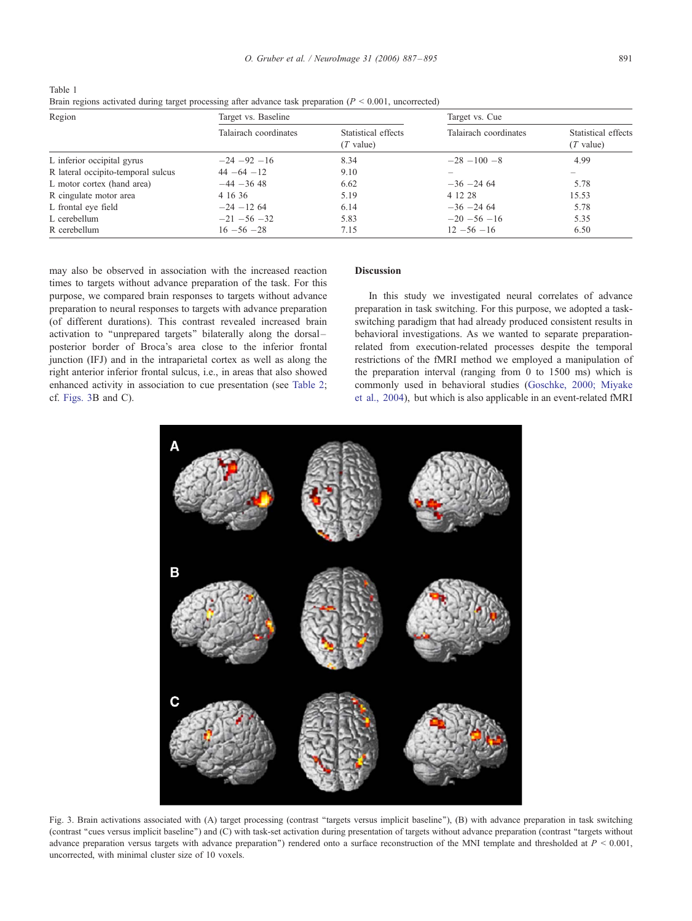<span id="page-4-0"></span>

| Table 1                                                                                                        |  |
|----------------------------------------------------------------------------------------------------------------|--|
| Brain regions activated during target processing after advance task preparation ( $P \le 0.001$ , uncorrected) |  |

| Region                             | Target vs. Baseline   |                                    | Target vs. Cue        |                                    |  |
|------------------------------------|-----------------------|------------------------------------|-----------------------|------------------------------------|--|
|                                    | Talairach coordinates | Statistical effects<br>$(T$ value) | Talairach coordinates | Statistical effects<br>$(T$ value) |  |
| L inferior occipital gyrus         | $-24 - 92 - 16$       | 8.34                               | $-28 - 100 - 8$       | 4.99                               |  |
| R lateral occipito-temporal sulcus | $44 - 64 - 12$        | 9.10                               |                       |                                    |  |
| L motor cortex (hand area)         | $-44 - 3648$          | 6.62                               | $-36 - 246$           | 5.78                               |  |
| R cingulate motor area             | 4 16 36               | 5.19                               | 4 12 28               | 15.53                              |  |
| L frontal eye field                | $-24 - 1264$          | 6.14                               | $-36 - 246$           | 5.78                               |  |
| L cerebellum                       | $-21 - 56 - 32$       | 5.83                               | $-20 - 56 - 16$       | 5.35                               |  |
| R cerebellum                       | $16 - 56 - 28$        | 7.15                               | $12 - 56 - 16$        | 6.50                               |  |

may also be observed in association with the increased reaction times to targets without advance preparation of the task. For this purpose, we compared brain responses to targets without advance preparation to neural responses to targets with advance preparation (of different durations). This contrast revealed increased brain activation to ''unprepared targets'' bilaterally along the dorsal – posterior border of Broca's area close to the inferior frontal junction (IFJ) and in the intraparietal cortex as well as along the right anterior inferior frontal sulcus, i.e., in areas that also showed enhanced activity in association to cue presentation (see [Table 2;](#page-5-0) cf. Figs. 3B and C).

# Discussion

In this study we investigated neural correlates of advance preparation in task switching. For this purpose, we adopted a taskswitching paradigm that had already produced consistent results in behavioral investigations. As we wanted to separate preparationrelated from execution-related processes despite the temporal restrictions of the fMRI method we employed a manipulation of the preparation interval (ranging from 0 to 1500 ms) which is commonly used in behavioral studies ([Goschke, 2000; Miyake](#page-8-0) et al., 2004), but which is also applicable in an event-related fMRI



Fig. 3. Brain activations associated with (A) target processing (contrast ''targets versus implicit baseline''), (B) with advance preparation in task switching (contrast ''cues versus implicit baseline'') and (C) with task-set activation during presentation of targets without advance preparation (contrast ''targets without advance preparation versus targets with advance preparation'') rendered onto a surface reconstruction of the MNI template and thresholded at P < 0.001, uncorrected, with minimal cluster size of 10 voxels.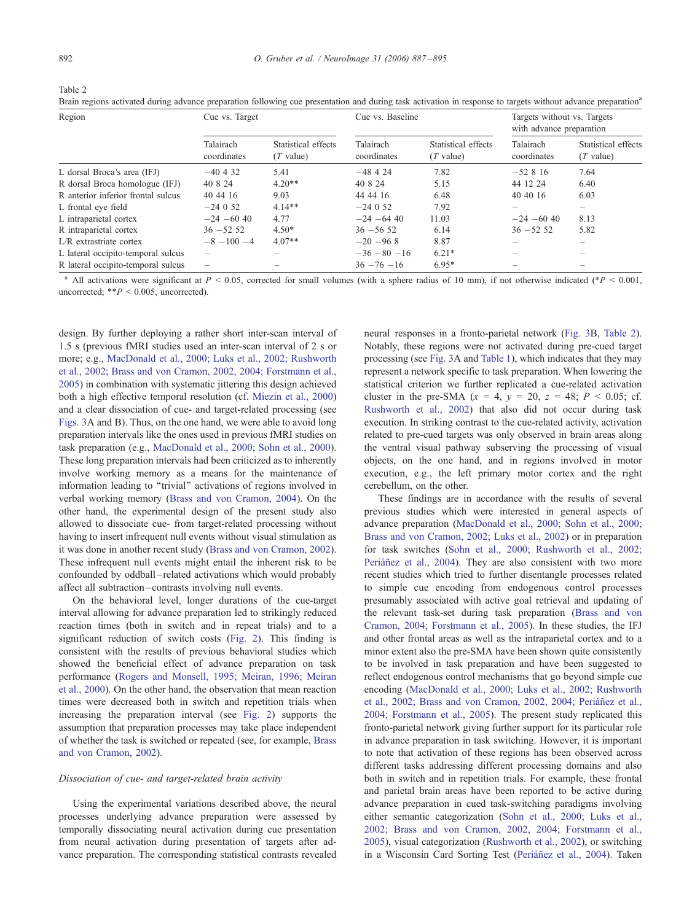<span id="page-5-0"></span>Table 2

Brain regions activated during advance preparation following cue presentation and during task activation in response to targets without advance preparation<sup>a</sup>

| Region                             | Cue vs. Target           |                                    | Cue vs. Baseline         |                                    | Targets without vs. Targets<br>with advance preparation                   |                                    |
|------------------------------------|--------------------------|------------------------------------|--------------------------|------------------------------------|---------------------------------------------------------------------------|------------------------------------|
|                                    | Talairach<br>coordinates | Statistical effects<br>$(T$ value) | Talairach<br>coordinates | Statistical effects<br>$(T$ value) | Talairach<br>coordinates                                                  | Statistical effects<br>$(T$ value) |
| L dorsal Broca's area (IFJ)        | $-40, 4, 32$             | 5.41                               | $-48424$                 | 7.82                               | $-52816$                                                                  | 7.64                               |
| R dorsal Broca homologue (IFJ)     | 40 8 24                  | $4.20**$                           | 40 8 24                  | 5.15                               | 44 12 24                                                                  | 6.40                               |
| R anterior inferior frontal sulcus | 40 44 16                 | 9.03                               | 44 44 16                 | 6.48                               | 40 40 16                                                                  | 6.03                               |
| L frontal eye field                | $-24052$                 | $4.14**$                           | $-24052$                 | 7.92                               | $\hspace{1.0cm} \rule{1.5cm}{0.15cm} \hspace{1.0cm} \rule{1.5cm}{0.15cm}$ | $\overline{\phantom{a}}$           |
| L intraparietal cortex             | $-24 - 60$ 40            | 4.77                               | $-24 - 64$ 40            | 11.03                              | $-24 - 60$ 40                                                             | 8.13                               |
| R intraparietal cortex             | $36 - 5252$              | $4.50*$                            | $36 - 5652$              | 6.14                               | $36 - 5252$                                                               | 5.82                               |
| $L/R$ extrastriate cortex          | $-8 - 100 - 4$           | $4.07**$                           | $-20 - 968$              | 8.87                               |                                                                           |                                    |
| L lateral occipito-temporal sulcus |                          |                                    | $-36 - 80 - 16$          | $6.21*$                            |                                                                           |                                    |
| R lateral occipito-temporal sulcus | $\overline{\phantom{0}}$ |                                    | $36 - 76 - 16$           | $6.95*$                            |                                                                           |                                    |

<sup>a</sup> All activations were significant at  $P < 0.05$ , corrected for small volumes (with a sphere radius of 10 mm), if not otherwise indicated (\*P < 0.001, uncorrected;  $*P < 0.005$ , uncorrected).

design. By further deploying a rather short inter-scan interval of 1.5 s (previous fMRI studies used an inter-scan interval of 2 s or more; e.g., [MacDonald et al., 2000; Luks et al., 2002; Rushworth](#page-8-0) et al., 2002; Brass and von Cramon, 2002, 2004; Forstmann et al., 2005) in combination with systematic jittering this design achieved both a high effective temporal resolution (cf. [Miezin et al., 2000\)](#page-8-0) and a clear dissociation of cue- and target-related processing (see [Figs. 3A](#page-4-0) and B). Thus, on the one hand, we were able to avoid long preparation intervals like the ones used in previous fMRI studies on task preparation (e.g., [MacDonald et al., 2000; Sohn et al., 2000\)](#page-8-0). These long preparation intervals had been criticized as to inherently involve working memory as a means for the maintenance of information leading to ''trivial'' activations of regions involved in verbal working memory ([Brass and von Cramon, 2004\)](#page-8-0). On the other hand, the experimental design of the present study also allowed to dissociate cue- from target-related processing without having to insert infrequent null events without visual stimulation as it was done in another recent study ([Brass and von Cramon, 2002\)](#page-8-0). These infrequent null events might entail the inherent risk to be confounded by oddball – related activations which would probably affect all subtraction –contrasts involving null events.

On the behavioral level, longer durations of the cue-target interval allowing for advance preparation led to strikingly reduced reaction times (both in switch and in repeat trials) and to a significant reduction of switch costs ([Fig. 2\)](#page-3-0). This finding is consistent with the results of previous behavioral studies which showed the beneficial effect of advance preparation on task performance ([Rogers and Monsell, 1995; Meiran, 1996; Meiran](#page-8-0) et al., 2000). On the other hand, the observation that mean reaction times were decreased both in switch and repetition trials when increasing the preparation interval (see [Fig. 2\)](#page-3-0) supports the assumption that preparation processes may take place independent of whether the task is switched or repeated (see, for example, [Brass](#page-8-0) and von Cramon, 2002).

## Dissociation of cue- and target-related brain activity

Using the experimental variations described above, the neural processes underlying advance preparation were assessed by temporally dissociating neural activation during cue presentation from neural activation during presentation of targets after advance preparation. The corresponding statistical contrasts revealed neural responses in a fronto-parietal network ([Fig. 3B](#page-4-0), Table 2). Notably, these regions were not activated during pre-cued target processing (see [Fig. 3A](#page-4-0) and [Table 1\)](#page-4-0), which indicates that they may represent a network specific to task preparation. When lowering the statistical criterion we further replicated a cue-related activation cluster in the pre-SMA  $(x = 4, y = 20, z = 48; P < 0.05;$  cf. [Rushworth et al., 2002\)](#page-8-0) that also did not occur during task execution. In striking contrast to the cue-related activity, activation related to pre-cued targets was only observed in brain areas along the ventral visual pathway subserving the processing of visual objects, on the one hand, and in regions involved in motor execution, e.g., the left primary motor cortex and the right cerebellum, on the other.

These findings are in accordance with the results of several previous studies which were interested in general aspects of advance preparation ([MacDonald et al., 2000; Sohn et al., 2000;](#page-8-0) Brass and von Cramon, 2002; Luks et al., 2002) or in preparation for task switches ([Sohn et al., 2000; Rushworth et al., 2002;](#page-8-0) Periáñez et al., 2004). They are also consistent with two more recent studies which tried to further disentangle processes related to simple cue encoding from endogenous control processes presumably associated with active goal retrieval and updating of the relevant task-set during task preparation ([Brass and von](#page-8-0) Cramon, 2004; Forstmann et al., 2005). In these studies, the IFJ and other frontal areas as well as the intraparietal cortex and to a minor extent also the pre-SMA have been shown quite consistently to be involved in task preparation and have been suggested to reflect endogenous control mechanisms that go beyond simple cue encoding ([MacDonald et al., 2000; Luks et al., 2002; Rushworth](#page-8-0) et al., 2002; Brass and von Cramon, 2002, 2004; Periáñez et al., 2004; Forstmann et al., 2005). The present study replicated this fronto-parietal network giving further support for its particular role in advance preparation in task switching. However, it is important to note that activation of these regions has been observed across different tasks addressing different processing domains and also both in switch and in repetition trials. For example, these frontal and parietal brain areas have been reported to be active during advance preparation in cued task-switching paradigms involving either semantic categorization ([Sohn et al., 2000; Luks et al.,](#page-8-0) 2002; Brass and von Cramon, 2002, 2004; Forstmann et al., 2005), visual categorization ([Rushworth et al., 2002\)](#page-8-0), or switching in a Wisconsin Card Sorting Test (Periáñez et al., 2004). Taken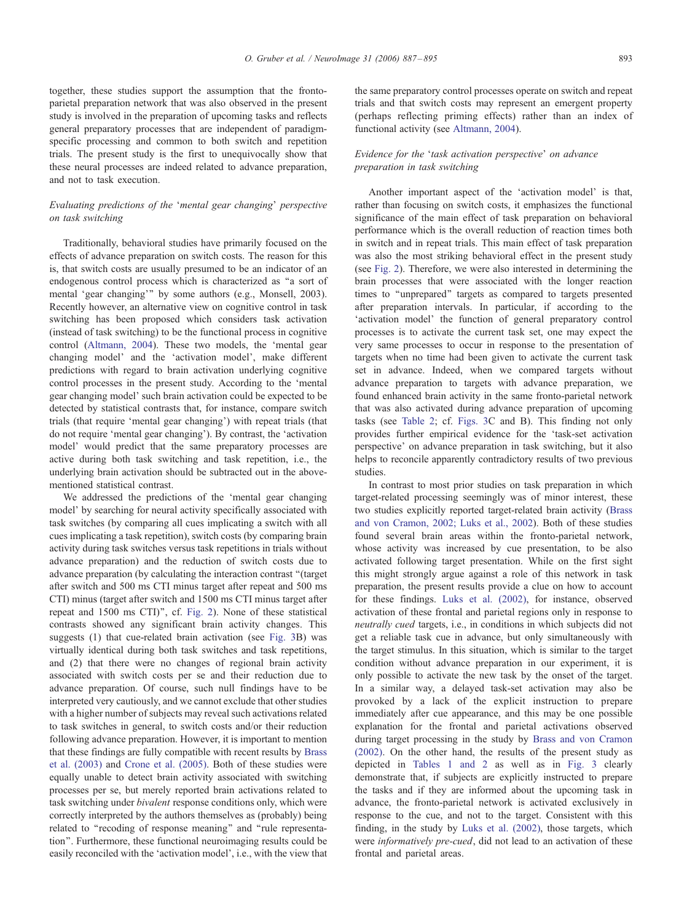together, these studies support the assumption that the frontoparietal preparation network that was also observed in the present study is involved in the preparation of upcoming tasks and reflects general preparatory processes that are independent of paradigmspecific processing and common to both switch and repetition trials. The present study is the first to unequivocally show that these neural processes are indeed related to advance preparation, and not to task execution.

# Evaluating predictions of the 'mental gear changing' perspective on task switching

Traditionally, behavioral studies have primarily focused on the effects of advance preparation on switch costs. The reason for this is, that switch costs are usually presumed to be an indicator of an endogenous control process which is characterized as ''a sort of mental 'gear changing'" by some authors (e.g., Monsell, 2003). Recently however, an alternative view on cognitive control in task switching has been proposed which considers task activation (instead of task switching) to be the functional process in cognitive control ([Altmann, 2004\)](#page-8-0). These two models, the 'mental gear changing model' and the 'activation model', make different predictions with regard to brain activation underlying cognitive control processes in the present study. According to the 'mental gear changing model' such brain activation could be expected to be detected by statistical contrasts that, for instance, compare switch trials (that require 'mental gear changing') with repeat trials (that do not require 'mental gear changing'). By contrast, the 'activation model' would predict that the same preparatory processes are active during both task switching and task repetition, i.e., the underlying brain activation should be subtracted out in the abovementioned statistical contrast.

We addressed the predictions of the 'mental gear changing model' by searching for neural activity specifically associated with task switches (by comparing all cues implicating a switch with all cues implicating a task repetition), switch costs (by comparing brain activity during task switches versus task repetitions in trials without advance preparation) and the reduction of switch costs due to advance preparation (by calculating the interaction contrast ''(target after switch and 500 ms CTI minus target after repeat and 500 ms CTI) minus (target after switch and 1500 ms CTI minus target after repeat and 1500 ms CTI)'', cf. [Fig. 2\)](#page-3-0). None of these statistical contrasts showed any significant brain activity changes. This suggests (1) that cue-related brain activation (see [Fig. 3B](#page-4-0)) was virtually identical during both task switches and task repetitions, and (2) that there were no changes of regional brain activity associated with switch costs per se and their reduction due to advance preparation. Of course, such null findings have to be interpreted very cautiously, and we cannot exclude that other studies with a higher number of subjects may reveal such activations related to task switches in general, to switch costs and/or their reduction following advance preparation. However, it is important to mention that these findings are fully compatible with recent results by [Brass](#page-8-0) et al. (2003) and [Crone et al. \(2005\).](#page-8-0) Both of these studies were equally unable to detect brain activity associated with switching processes per se, but merely reported brain activations related to task switching under bivalent response conditions only, which were correctly interpreted by the authors themselves as (probably) being related to ''recoding of response meaning'' and ''rule representation''. Furthermore, these functional neuroimaging results could be easily reconciled with the 'activation model', i.e., with the view that

the same preparatory control processes operate on switch and repeat trials and that switch costs may represent an emergent property (perhaps reflecting priming effects) rather than an index of functional activity (see [Altmann, 2004\)](#page-8-0).

# Evidence for the 'task activation perspective' on advance preparation in task switching

Another important aspect of the 'activation model' is that, rather than focusing on switch costs, it emphasizes the functional significance of the main effect of task preparation on behavioral performance which is the overall reduction of reaction times both in switch and in repeat trials. This main effect of task preparation was also the most striking behavioral effect in the present study (see [Fig. 2\)](#page-3-0). Therefore, we were also interested in determining the brain processes that were associated with the longer reaction times to "unprepared" targets as compared to targets presented after preparation intervals. In particular, if according to the 'activation model' the function of general preparatory control processes is to activate the current task set, one may expect the very same processes to occur in response to the presentation of targets when no time had been given to activate the current task set in advance. Indeed, when we compared targets without advance preparation to targets with advance preparation, we found enhanced brain activity in the same fronto-parietal network that was also activated during advance preparation of upcoming tasks (see [Table 2;](#page-5-0) cf. [Figs. 3C](#page-4-0) and B). This finding not only provides further empirical evidence for the 'task-set activation perspective' on advance preparation in task switching, but it also helps to reconcile apparently contradictory results of two previous studies.

In contrast to most prior studies on task preparation in which target-related processing seemingly was of minor interest, these two studies explicitly reported target-related brain activity ([Brass](#page-8-0) and von Cramon, 2002; Luks et al., 2002). Both of these studies found several brain areas within the fronto-parietal network, whose activity was increased by cue presentation, to be also activated following target presentation. While on the first sight this might strongly argue against a role of this network in task preparation, the present results provide a clue on how to account for these findings. [Luks et al. \(2002\),](#page-8-0) for instance, observed activation of these frontal and parietal regions only in response to neutrally cued targets, i.e., in conditions in which subjects did not get a reliable task cue in advance, but only simultaneously with the target stimulus. In this situation, which is similar to the target condition without advance preparation in our experiment, it is only possible to activate the new task by the onset of the target. In a similar way, a delayed task-set activation may also be provoked by a lack of the explicit instruction to prepare immediately after cue appearance, and this may be one possible explanation for the frontal and parietal activations observed during target processing in the study by [Brass and von Cramon](#page-8-0) (2002). On the other hand, the results of the present study as depicted in [Tables 1 and](#page-4-0) [2](#page-5-0) as well as in [Fig. 3](#page-4-0) clearly demonstrate that, if subjects are explicitly instructed to prepare the tasks and if they are informed about the upcoming task in advance, the fronto-parietal network is activated exclusively in response to the cue, and not to the target. Consistent with this finding, in the study by [Luks et al. \(2002\),](#page-8-0) those targets, which were informatively pre-cued, did not lead to an activation of these frontal and parietal areas.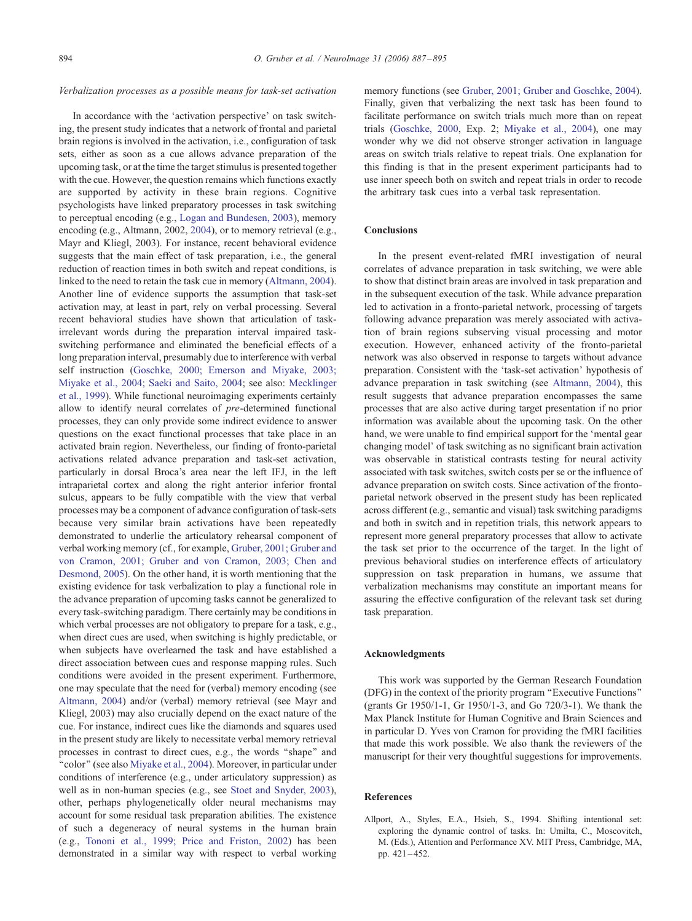## <span id="page-7-0"></span>Verbalization processes as a possible means for task-set activation

In accordance with the 'activation perspective' on task switching, the present study indicates that a network of frontal and parietal brain regions is involved in the activation, i.e., configuration of task sets, either as soon as a cue allows advance preparation of the upcoming task, or at the time the target stimulus is presented together with the cue. However, the question remains which functions exactly are supported by activity in these brain regions. Cognitive psychologists have linked preparatory processes in task switching to perceptual encoding (e.g., [Logan and Bundesen, 2003\)](#page-8-0), memory encoding (e.g., Altmann, 2002, [2004\)](#page-8-0), or to memory retrieval (e.g., Mayr and Kliegl, 2003). For instance, recent behavioral evidence suggests that the main effect of task preparation, i.e., the general reduction of reaction times in both switch and repeat conditions, is linked to the need to retain the task cue in memory ([Altmann, 2004\)](#page-8-0). Another line of evidence supports the assumption that task-set activation may, at least in part, rely on verbal processing. Several recent behavioral studies have shown that articulation of taskirrelevant words during the preparation interval impaired taskswitching performance and eliminated the beneficial effects of a long preparation interval, presumably due to interference with verbal self instruction ([Goschke, 2000; Emerson and Miyake, 2003;](#page-8-0) Miyake et al., 2004; Saeki and Saito, 2004; see also: [Mecklinger](#page-8-0) et al., 1999). While functional neuroimaging experiments certainly allow to identify neural correlates of pre-determined functional processes, they can only provide some indirect evidence to answer questions on the exact functional processes that take place in an activated brain region. Nevertheless, our finding of fronto-parietal activations related advance preparation and task-set activation, particularly in dorsal Broca's area near the left IFJ, in the left intraparietal cortex and along the right anterior inferior frontal sulcus, appears to be fully compatible with the view that verbal processes may be a component of advance configuration of task-sets because very similar brain activations have been repeatedly demonstrated to underlie the articulatory rehearsal component of verbal working memory (cf., for example, [Gruber, 2001; Gruber and](#page-8-0) von Cramon, 2001; Gruber and von Cramon, 2003; Chen and Desmond, 2005). On the other hand, it is worth mentioning that the existing evidence for task verbalization to play a functional role in the advance preparation of upcoming tasks cannot be generalized to every task-switching paradigm. There certainly may be conditions in which verbal processes are not obligatory to prepare for a task, e.g., when direct cues are used, when switching is highly predictable, or when subjects have overlearned the task and have established a direct association between cues and response mapping rules. Such conditions were avoided in the present experiment. Furthermore, one may speculate that the need for (verbal) memory encoding (see [Altmann, 2004\)](#page-8-0) and/or (verbal) memory retrieval (see Mayr and Kliegl, 2003) may also crucially depend on the exact nature of the cue. For instance, indirect cues like the diamonds and squares used in the present study are likely to necessitate verbal memory retrieval processes in contrast to direct cues, e.g., the words ''shape'' and ''color'' (see also [Miyake et al., 2004\)](#page-8-0). Moreover, in particular under conditions of interference (e.g., under articulatory suppression) as well as in non-human species (e.g., see [Stoet and Snyder, 2003\)](#page-8-0), other, perhaps phylogenetically older neural mechanisms may account for some residual task preparation abilities. The existence of such a degeneracy of neural systems in the human brain (e.g., [Tononi et al., 1999; Price and Friston, 2002\)](#page-8-0) has been demonstrated in a similar way with respect to verbal working

memory functions (see [Gruber, 2001; Gruber and Goschke, 2004\)](#page-8-0). Finally, given that verbalizing the next task has been found to facilitate performance on switch trials much more than on repeat trials ([Goschke, 2000,](#page-8-0) Exp. 2; [Miyake et al., 2004\)](#page-8-0), one may wonder why we did not observe stronger activation in language areas on switch trials relative to repeat trials. One explanation for this finding is that in the present experiment participants had to use inner speech both on switch and repeat trials in order to recode the arbitrary task cues into a verbal task representation.

# Conclusions

In the present event-related fMRI investigation of neural correlates of advance preparation in task switching, we were able to show that distinct brain areas are involved in task preparation and in the subsequent execution of the task. While advance preparation led to activation in a fronto-parietal network, processing of targets following advance preparation was merely associated with activation of brain regions subserving visual processing and motor execution. However, enhanced activity of the fronto-parietal network was also observed in response to targets without advance preparation. Consistent with the 'task-set activation' hypothesis of advance preparation in task switching (see [Altmann, 2004\)](#page-8-0), this result suggests that advance preparation encompasses the same processes that are also active during target presentation if no prior information was available about the upcoming task. On the other hand, we were unable to find empirical support for the 'mental gear changing model' of task switching as no significant brain activation was observable in statistical contrasts testing for neural activity associated with task switches, switch costs per se or the influence of advance preparation on switch costs. Since activation of the frontoparietal network observed in the present study has been replicated across different (e.g., semantic and visual) task switching paradigms and both in switch and in repetition trials, this network appears to represent more general preparatory processes that allow to activate the task set prior to the occurrence of the target. In the light of previous behavioral studies on interference effects of articulatory suppression on task preparation in humans, we assume that verbalization mechanisms may constitute an important means for assuring the effective configuration of the relevant task set during task preparation.

## Acknowledgments

This work was supported by the German Research Foundation (DFG) in the context of the priority program "Executive Functions" (grants Gr 1950/1-1, Gr 1950/1-3, and Go 720/3-1). We thank the Max Planck Institute for Human Cognitive and Brain Sciences and in particular D. Yves von Cramon for providing the fMRI facilities that made this work possible. We also thank the reviewers of the manuscript for their very thoughtful suggestions for improvements.

# References

Allport, A., Styles, E.A., Hsieh, S., 1994. Shifting intentional set: exploring the dynamic control of tasks. In: Umilta, C., Moscovitch, M. (Eds.), Attention and Performance XV. MIT Press, Cambridge, MA, pp. 421 – 452.